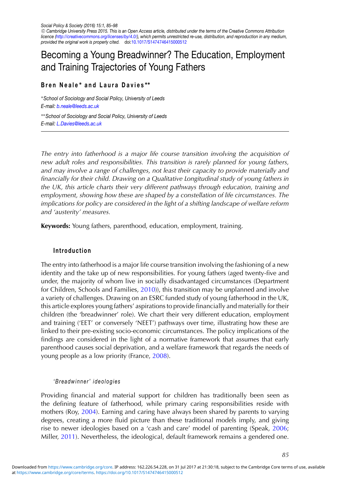*Social Policy & Society (2016) 15:1, 85–98* -*<sup>C</sup> Cambridge University Press 2015. This is an Open Access article, distributed under the terms of the Creative Commons Attribution licence [\(http://creativecommons.org/licenses/by/4.0/\)](http://creativecommons.org/licenses/by/4.0/), which permits unrestricted re-use, distribution, and reproduction in any medium, provided the original work is properly cited.* doi[:10.1017/S1474746415000512](http://dx.doi.org/10.1017/S1474746415000512)

# Becoming a Young Breadwinner? The Education, Employment and Training Trajectories of Young Fathers

# **Bren Neale ∗ and Laura Davies ∗∗**

∗*School of Sociology and Social Policy, University of Leeds E-mail: [b.neale@leeds.ac.uk](mailto:b.neale@leeds.ac.uk)*

∗∗*School of Sociology and Social Policy, University of Leeds E-mail: [L.Davies@leeds.ac.uk](mailto:L.Davies@leeds.ac.uk)*

*The entry into fatherhood is a major life course transition involving the acquisition of new adult roles and responsibilities. This transition is rarely planned for young fathers, and may involve a range of challenges, not least their capacity to provide materially and financially for their child. Drawing on a Qualitative Longitudinal study of young fathers in the UK, this article charts their very different pathways through education, training and employment, showing how these are shaped by a constellation of life circumstances. The implications for policy are considered in the light of a shifting landscape of welfare reform and 'austerity' measures.*

**Keywords:** Young fathers, parenthood, education, employment, training.

## **Introduction**

The entry into fatherhood is a major life course transition involving the fashioning of a new identity and the take up of new responsibilities. For young fathers (aged twenty-five and under, the majority of whom live in socially disadvantaged circumstances (Department for Children, Schools and Families,  $2010$ ), this transition may be unplanned and involve a variety of challenges. Drawing on an ESRC funded study of young fatherhood in the UK, this article explores young fathers' aspirations to provide financially and materially for their children (the 'breadwinner' role). We chart their very different education, employment and training ('EET' or conversely 'NEET') pathways over time, illustrating how these are linked to their pre-existing socio-economic circumstances. The policy implications of the findings are considered in the light of a normative framework that assumes that early parenthood causes social deprivation, and a welfare framework that regards the needs of young people as a low priority (France, [2008\)](#page-13-0).

#### *'Breadwinner' ideologies*

Providing financial and material support for children has traditionally been seen as the defining feature of fatherhood, while primary caring responsibilities reside with mothers (Roy, [2004\)](#page-13-0). Earning and caring have always been shared by parents to varying degrees, creating a more fluid picture than these traditional models imply, and giving rise to newer ideologies based on a 'cash and care' model of parenting (Speak, [2006;](#page-13-0) Miller, [2011\)](#page-13-0). Nevertheless, the ideological, default framework remains a gendered one.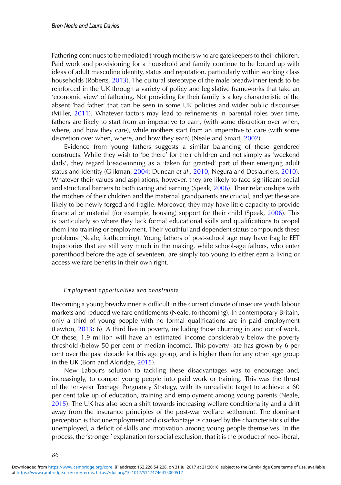Fathering continues to be mediated through mothers who are gatekeepers to their children. Paid work and provisioning for a household and family continue to be bound up with ideas of adult masculine identity, status and reputation, particularly within working class households (Roberts, [2013\)](#page-13-0). The cultural stereotype of the male breadwinner tends to be reinforced in the UK through a variety of policy and legislative frameworks that take an 'economic view' of fathering. Not providing for their family is a key characteristic of the absent 'bad father' that can be seen in some UK policies and wider public discourses (Miller, [2011\)](#page-13-0). Whatever factors may lead to refinements in parental roles over time, fathers are likely to start from an imperative to earn, (with some discretion over when, where, and how they care), while mothers start from an imperative to care (with some discretion over when, where, and how they earn) (Neale and Smart, [2002\)](#page-13-0).

Evidence from young fathers suggests a similar balancing of these gendered constructs. While they wish to 'be there' for their children and not simply as 'weekend dads', they regard breadwinning as a 'taken for granted' part of their emerging adult status and identity (Glikman, [2004;](#page-13-0) Duncan *et al*., [2010;](#page-12-0) Negura and Deslauriers, [2010\)](#page-13-0). Whatever their values and aspirations, however, they are likely to face significant social and structural barriers to both caring and earning (Speak, [2006\)](#page-13-0). Their relationships with the mothers of their children and the maternal grandparents are crucial, and yet these are likely to be newly forged and fragile. Moreover, they may have little capacity to provide financial or material (for example, housing) support for their child (Speak, [2006\)](#page-13-0). This is particularly so where they lack formal educational skills and qualifications to propel them into training or employment. Their youthful and dependent status compounds these problems (Neale, forthcoming). Young fathers of post-school age may have fragile EET trajectories that are still very much in the making, while school-age fathers, who enter parenthood before the age of seventeen, are simply too young to either earn a living or access welfare benefits in their own right.

#### *Employment opportunities and constraints*

Becoming a young breadwinner is difficult in the current climate of insecure youth labour markets and reduced welfare entitlements (Neale, forthcoming). In contemporary Britain, only a third of young people with no formal qualifications are in paid employment (Lawton, [2013:](#page-13-0) 6). A third live in poverty, including those churning in and out of work. Of these, 1.9 million will have an estimated income considerably below the poverty threshold (below 50 per cent of median income). This poverty rate has grown by 6 per cent over the past decade for this age group, and is higher than for any other age group in the UK (Born and Aldridge, [2015\)](#page-12-0).

New Labour's solution to tackling these disadvantages was to encourage and, increasingly, to compel young people into paid work or training. This was the thrust of the ten-year Teenage Pregnancy Strategy, with its unrealistic target to achieve a 60 per cent take up of education, training and employment among young parents (Neale, [2015\)](#page-13-0). The UK has also seen a shift towards increasing welfare conditionality and a drift away from the insurance principles of the post-war welfare settlement. The dominant perception is that unemployment and disadvantage is caused by the characteristics of the unemployed, a deficit of skills and motivation among young people themselves. In the process, the 'stronger' explanation for social exclusion, that it is the product of neo-liberal,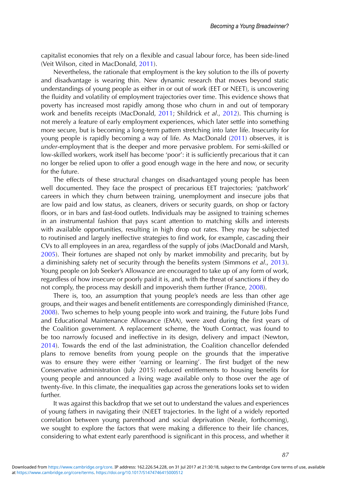capitalist economies that rely on a flexible and casual labour force, has been side-lined (Veit Wilson, cited in MacDonald, [2011\)](#page-13-0).

Nevertheless, the rationale that employment is the key solution to the ills of poverty and disadvantage is wearing thin. New dynamic research that moves beyond static understandings of young people as either in or out of work (EET or NEET), is uncovering the fluidity and volatility of employment trajectories over time. This evidence shows that poverty has increased most rapidly among those who churn in and out of temporary work and benefits receipts (MacDonald, [2011;](#page-13-0) Shildrick *et al*., [2012\)](#page-13-0). This churning is not merely a feature of early employment experiences, which later settle into something more secure, but is becoming a long-term pattern stretching into later life. Insecurity for young people is rapidly becoming a way of life. As MacDonald [\(2011\)](#page-13-0) observes, it is *under*-employment that is the deeper and more pervasive problem. For semi-skilled or low-skilled workers, work itself has become 'poor': it is sufficiently precarious that it can no longer be relied upon to offer a good enough wage in the here and now, or security for the future.

The effects of these structural changes on disadvantaged young people has been well documented. They face the prospect of precarious EET trajectories; 'patchwork' careers in which they churn between training, unemployment and insecure jobs that are low paid and low status, as cleaners, drivers or security guards, on shop or factory floors, or in bars and fast-food outlets. Individuals may be assigned to training schemes in an instrumental fashion that pays scant attention to matching skills and interests with available opportunities, resulting in high drop out rates. They may be subjected to routinised and largely ineffective strategies to find work, for example, cascading their CVs to all employees in an area, regardless of the supply of jobs (MacDonald and Marsh, [2005\)](#page-13-0). Their fortunes are shaped not only by market immobility and precarity, but by a diminishing safety net of security through the benefits system (Simmons *et al*., [2013\)](#page-13-0). Young people on Job Seeker's Allowance are encouraged to take up of any form of work, regardless of how insecure or poorly paid it is, and, with the threat of sanctions if they do not comply, the process may deskill and impoverish them further (France, [2008\)](#page-13-0).

There is, too, an assumption that young people's needs are less than other age groups, and their wages and benefit entitlements are correspondingly diminished (France, [2008\)](#page-13-0). Two schemes to help young people into work and training, the Future Jobs Fund and Educational Maintenance Allowance (EMA), were axed during the first years of the Coalition government. A replacement scheme, the Youth Contract, was found to be too narrowly focused and ineffective in its design, delivery and impact (Newton, [2014\)](#page-13-0). Towards the end of the last administration, the Coalition chancellor defended plans to remove benefits from young people on the grounds that the imperative was to ensure they were either 'earning or learning'. The first budget of the new Conservative administration (July 2015) reduced entitlements to housing benefits for young people and announced a living wage available only to those over the age of twenty-five. In this climate, the inequalities gap across the generations looks set to widen further.

It was against this backdrop that we set out to understand the values and experiences of young fathers in navigating their (N)EET trajectories. In the light of a widely reported correlation between young parenthood and social deprivation (Neale, forthcoming), we sought to explore the factors that were making a difference to their life chances, considering to what extent early parenthood is significant in this process, and whether it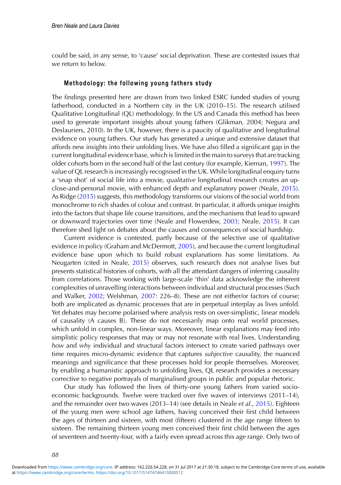could be said, in any sense, to 'cause' social deprivation. These are contested issues that we return to below.

## **Methodology: the following young fathers study**

The findings presented here are drawn from two linked ESRC funded studies of young fatherhood, conducted in a Northern city in the UK (2010–15). The research utilised Qualitative Longitudinal (QL) methodology. In the US and Canada this method has been used to generate important insights about young fathers (Glikman, 2004; Negura and Deslauriers, 2010). In the UK, however, there is a paucity of qualitative and longitudinal evidence on young fathers. Our study has generated a unique and extensive dataset that affords new insights into their unfolding lives. We have also filled a significant gap in the current longitudinal evidence base, which is limited in the main to surveys that are tracking older cohorts born in the second half of the last century (for example, Kiernan, [1997\)](#page-13-0). The value of QL research is increasingly recognised in the UK. While longitudinal enquiry turns a 'snap shot' of social life into a movie, *qualitative* longitudinal research creates an upclose-and-personal movie, with enhanced depth and explanatory power (Neale, [2015\)](#page-13-0). As Ridge [\(2015\)](#page-13-0) suggests, this methodology transforms our visions of the social world from monochrome to rich shades of colour and contrast. In particular, it affords unique insights into the factors that shape life course transitions, and the mechanisms that lead to upward or downward trajectories over time (Neale and Flowerdew, [2003;](#page-13-0) Neale, [2015\)](#page-13-0). It can therefore shed light on debates about the causes and consequences of social hardship.

Current evidence is contested, partly because of the selective use of qualitative evidence in policy (Graham and McDermott, [2005\)](#page-13-0), and because the current longitudinal evidence base upon which to build robust explanations has some limitations. As Neugarten (cited in Neale, [2015\)](#page-13-0) observes, such research does not analyse lives but presents statistical histories of cohorts, with all the attendant dangers of inferring causality from correlations. Those working with large-scale 'thin' data acknowledge the inherent complexities of unravelling interactions between individual and structural processes (Such and Walker, [2002;](#page-13-0) Welshman, [2007:](#page-13-0) 226–8). These are not either/or factors of course; both are implicated as dynamic processes that are in perpetual interplay as lives unfold. Yet debates may become polarised where analysis rests on over-simplistic, linear models of causality (A causes B). These do not necessarily map onto real world processes, which unfold in complex, non-linear ways. Moreover, linear explanations may feed into simplistic policy responses that may or may not resonate with real lives. Understanding *how* and *why* individual and structural factors intersect to create varied pathways over time requires micro-dynamic evidence that captures *subjective* causality, the nuanced meanings and significance that these processes hold for people themselves. Moreover, by enabling a humanistic approach to unfolding lives, QL research provides a necessary corrective to negative portrayals of marginalised groups in public and popular rhetoric.

Our study has followed the lives of thirty-one young fathers from varied socioeconomic backgrounds. Twelve were tracked over five waves of interviews (2011–14), and the remainder over two waves (2013–14) (see details in Neale *et al*., [2015\)](#page-13-0). Eighteen of the young men were school age fathers, having conceived their first child between the ages of thirteen and sixteen, with most (fifteen) clustered in the age range fifteen to sixteen. The remaining thirteen young men conceived their first child between the ages of seventeen and twenty-four, with a fairly even spread across this age range. Only two of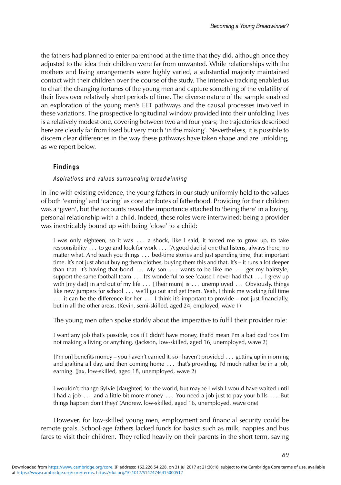the fathers had planned to enter parenthood at the time that they did, although once they adjusted to the idea their children were far from unwanted. While relationships with the mothers and living arrangements were highly varied, a substantial majority maintained contact with their children over the course of the study. The intensive tracking enabled us to chart the changing fortunes of the young men and capture something of the volatility of their lives over relatively short periods of time. The diverse nature of the sample enabled an exploration of the young men's EET pathways and the causal processes involved in these variations. The prospective longitudinal window provided into their unfolding lives is a relatively modest one, covering between two and four years; the trajectories described here are clearly far from fixed but very much 'in the making'. Nevertheless, it is possible to discern clear differences in the way these pathways have taken shape and are unfolding, as we report below.

# **Findings**

## *Aspirations and values surrounding breadwinning*

In line with existing evidence, the young fathers in our study uniformly held to the values of both 'earning' and 'caring' as core attributes of fatherhood. Providing for their children was a 'given', but the accounts reveal the importance attached to 'being there' in a loving, personal relationship with a child. Indeed, these roles were intertwined: being a provider was inextricably bound up with being 'close' to a child:

I was only eighteen, so it was . . . a shock, like I said, it forced me to grow up, to take responsibility . . . to go and look for work . . . [A good dad is] one that listens, always there, no matter what. And teach you things . . . bed-time stories and just spending time, that important time. It's not just about buying them clothes, buying them this and that. It's – it runs a lot deeper than that. It's having that bond  $\ldots$  My son  $\ldots$  wants to be like me  $\ldots$  get my hairstyle, support the same football team . . . It's wonderful to see 'cause I never had that . . . I grew up with  $[my \text{ dad}]$  in and out of my life  $\dots$  [Their mum] is  $\dots$  unemployed  $\dots$  Obviously, things like new jumpers for school ... we'll go out and get them. Yeah, I think me working full time  $\ldots$  it can be the difference for her  $\ldots$  I think it's important to provide – not just financially, but in all the other areas. (Kevin, semi-skilled, aged 24, employed, wave 1)

The young men often spoke starkly about the imperative to fulfil their provider role:

I want any job that's possible, cos if I didn't have money, that'd mean I'm a bad dad 'cos I'm not making a living or anything. (Jackson, low-skilled, aged 16, unemployed, wave 2)

 $[I'm on]$  benefits money – you haven't earned it, so I haven't provided . . . getting up in morning and grafting all day, and then coming home . . . that's providing. I'd much rather be in a job, earning. (Jax, low-skilled, aged 18, unemployed, wave 2)

I wouldn't change Sylvie [daughter] for the world, but maybe I wish I would have waited until I had a job . . . and a little bit more money . . . You need a job just to pay your bills . . . But things happen don't they? (Andrew, low-skilled, aged 16, unemployed, wave one)

However, for low-skilled young men, employment and financial security could be remote goals. School-age fathers lacked funds for basics such as milk, nappies and bus fares to visit their children. They relied heavily on their parents in the short term, saving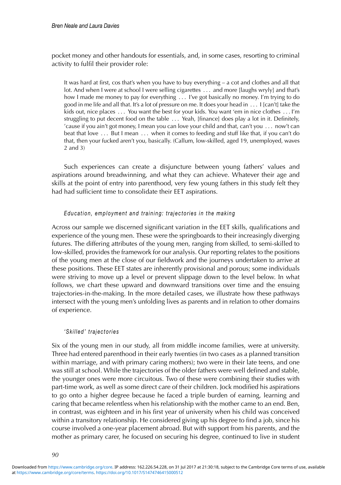pocket money and other handouts for essentials, and, in some cases, resorting to criminal activity to fulfil their provider role:

It was hard at first, cos that's when you have to buy everything – a cot and clothes and all that lot. And when I were at school I were selling cigarettes . . . and more [laughs wryly] and that's how I made me money to pay for everything . . . I've got basically no money. I'm trying to do good in me life and all that. It's a lot of pressure on me. It does your head in . . . I [can't] take the kids out, nice places ... You want the best for your kids. You want 'em in nice clothes ... I'm struggling to put decent food on the table . . . Yeah, [finance] does play a lot in it. Definitely, 'cause if you ain't got money, I mean you can love your child and that, can't you . . . now't can beat that love . . . But I mean . . . when it comes to feeding and stuff like that, if you can't do that, then your fucked aren't you, basically. (Callum, low-skilled, aged 19, unemployed, waves 2 and 3)

Such experiences can create a disjuncture between young fathers' values and aspirations around breadwinning, and what they can achieve. Whatever their age and skills at the point of entry into parenthood, very few young fathers in this study felt they had had sufficient time to consolidate their EET aspirations.

## *Education, employment and training: trajectories in the making*

Across our sample we discerned significant variation in the EET skills, qualifications and experience of the young men. These were the springboards to their increasingly diverging futures. The differing attributes of the young men, ranging from skilled, to semi-skilled to low-skilled, provides the framework for our analysis. Our reporting relates to the positions of the young men at the close of our fieldwork and the journeys undertaken to arrive at these positions. These EET states are inherently provisional and porous; some individuals were striving to move up a level or prevent slippage down to the level below. In what follows, we chart these upward and downward transitions over time and the ensuing trajectories-in-the-making. In the more detailed cases, we illustrate how these pathways intersect with the young men's unfolding lives as parents and in relation to other domains of experience.

# *'Skilled' trajectories*

Six of the young men in our study, all from middle income families, were at university. Three had entered parenthood in their early twenties (in two cases as a planned transition within marriage, and with primary caring mothers); two were in their late teens, and one was still at school. While the trajectories of the older fathers were well defined and stable, the younger ones were more circuitous. Two of these were combining their studies with part-time work, as well as some direct care of their children. Jock modified his aspirations to go onto a higher degree because he faced a triple burden of earning, learning and caring that became relentless when his relationship with the mother came to an end. Ben, in contrast, was eighteen and in his first year of university when his child was conceived within a transitory relationship. He considered giving up his degree to find a job, since his course involved a one-year placement abroad. But with support from his parents, and the mother as primary carer, he focused on securing his degree, continued to live in student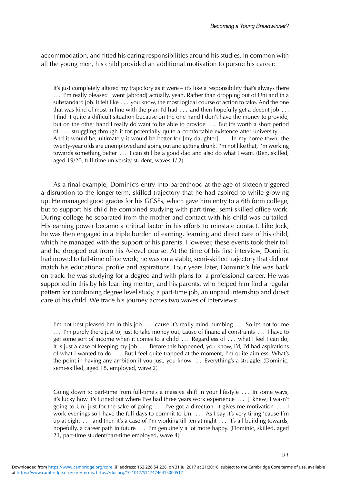accommodation, and fitted his caring responsibilities around his studies. In common with all the young men, his child provided an additional motivation to pursue his career:

It's just completely altered my trajectory as it were – it's like a responsibility that's always there . . . I'm really pleased I went [abroad] actually, yeah. Rather than dropping out of Uni and in a substandard job. It felt like . . . you know, the most logical course of action to take. And the one that was kind of most in line with the plan I'd had  $\ldots$  and then hopefully get a decent job  $\ldots$ I find it quite a difficult situation because on the one hand I don't have the money to provide, but on the other hand I really do want to be able to provide . . . But it's worth a short period of ... struggling through it for potentially quite a comfortable existence after university ... And it would be, ultimately it would be better for [my daughter] . . . In my home town, the twenty-year olds are unemployed and going out and getting drunk. I'm not like that, I'm working towards something better . . . I can still be a good dad and also do what I want. (Ben, skilled, aged 19/20, full-time university student, waves 1/ 2)

As a final example, Dominic's entry into parenthood at the age of sixteen triggered a disruption to the longer-term, skilled trajectory that he had aspired to while growing up. He managed good grades for his GCSEs, which gave him entry to a 6th form college, but to support his child he combined studying with part-time, semi-skilled office work. During college he separated from the mother and contact with his child was curtailed. His earning power became a critical factor in his efforts to reinstate contact. Like Jock, he was then engaged in a triple burden of earning, learning and direct care of his child, which he managed with the support of his parents. However, these events took their toll and he dropped out from his A-level course. At the time of his first interview, Dominic had moved to full-time office work; he was on a stable, semi-skilled trajectory that did not match his educational profile and aspirations. Four years later, Dominic's life was back on track: he was studying for a degree and with plans for a professional career. He was supported in this by his learning mentor, and his parents, who helped him find a regular pattern for combining degree level study, a part-time job, an unpaid internship and direct care of his child. We trace his journey across two waves of interviews:

I'm not best pleased I'm in this job ... cause it's really mind numbing ... So it's not for me . . . I'm purely there just to, just to take money out, cause of financial constraints . . . I have to get some sort of income when it comes to a child . . . Regardless of . . . what I feel I can do, it is just a case of keeping my job . . . Before this happened, you know, I'd, I'd had aspirations of what I wanted to do . . . But I feel quite trapped at the moment, I'm quite aimless. What's the point in having any ambition if you just, you know . . . Everything's a struggle. (Dominic, semi-skilled, aged 18, employed, wave 2)

Going down to part-time from full-time's a massive shift in your lifestyle . . . In some ways, it's lucky how it's turned out where I've had three years work experience . . . [I knew] I wasn't going to Uni just for the sake of going . . . I've got a direction, it gives me motivation . . . I work evenings so I have the full days to commit to Uni ... As I say it's very tiring 'cause I'm up at eight ... and then it's a case of I'm working till ten at night ... It's all building towards, hopefully, a career path in future . . . I'm genuinely a lot more happy. (Dominic, skilled, aged 21, part-time student/part-time employed, wave 4)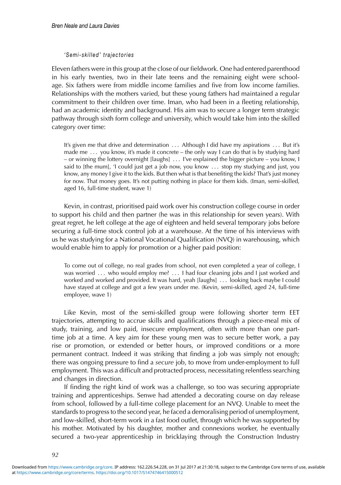## *'Semi-skilled' trajectories*

Eleven fathers were in this group at the close of our fieldwork. One had entered parenthood in his early twenties, two in their late teens and the remaining eight were schoolage. Six fathers were from middle income families and five from low income families. Relationships with the mothers varied, but these young fathers had maintained a regular commitment to their children over time. Iman, who had been in a fleeting relationship, had an academic identity and background. His aim was to secure a longer term strategic pathway through sixth form college and university, which would take him into the skilled category over time:

It's given me that drive and determination ... Although I did have my aspirations ... But it's made me ... you know, it's made it concrete – the only way I can do that is by studying hard – or winning the lottery overnight [laughs] . . . I've explained the bigger picture – you know, I said to [the mum], 'I could just get a job now, you know . . . stop my studying and just, you know, any money I give it to the kids. But then what is that benefiting the kids? That's just money for now. That money goes. It's not putting nothing in place for them kids. (Iman, semi-skilled, aged 16, full-time student, wave 1)

Kevin, in contrast, prioritised paid work over his construction college course in order to support his child and then partner (he was in this relationship for seven years). With great regret, he left college at the age of eighteen and held several temporary jobs before securing a full-time stock control job at a warehouse. At the time of his interviews with us he was studying for a National Vocational Qualification (NVQ) in warehousing, which would enable him to apply for promotion or a higher paid position:

To come out of college, no real grades from school, not even completed a year of college, I was worried . . . who would employ me? . . . I had four cleaning jobs and I just worked and worked and worked and provided. It was hard, yeah [laughs] . . . looking back maybe I could have stayed at college and got a few years under me. (Kevin, semi-skilled, aged 24, full-time employee, wave 1)

Like Kevin, most of the semi-skilled group were following shorter term EET trajectories, attempting to accrue skills and qualifications through a piece-meal mix of study, training, and low paid, insecure employment, often with more than one parttime job at a time. A key aim for these young men was to secure better work, a pay rise or promotion, or extended or better hours, or improved conditions or a more permanent contract. Indeed it was striking that finding a job was simply not enough; there was ongoing pressure to find a *secure* job, to move from under-employment to full employment. This was a difficult and protracted process, necessitating relentless searching and changes in direction.

If finding the right kind of work was a challenge, so too was securing appropriate training and apprenticeships. Senwe had attended a decorating course on day release from school, followed by a full-time college placement for an NVQ. Unable to meet the standards to progress to the second year, he faced a demoralising period of unemployment, and low-skilled, short-term work in a fast food outlet, through which he was supported by his mother. Motivated by his daughter, mother and connexions worker, he eventually secured a two-year apprenticeship in bricklaying through the Construction Industry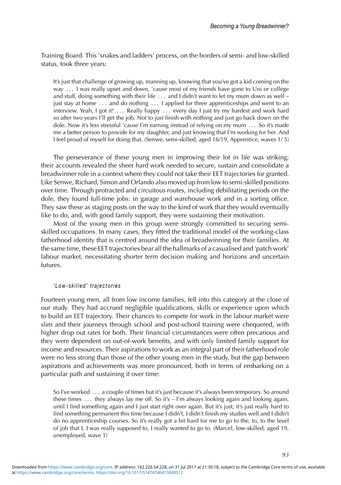Training Board. This 'snakes and ladders' process, on the borders of semi- and low-skilled status, took three years:

It's just that challenge of growing up, manning up, knowing that you've got a kid coming on the way . . . I was really upset and down, 'cause most of my friends have gone to Uni or college and stuff, doing something with their life  $\ldots$  and I didn't want to let my mum down as well – just stay at home . . . and do nothing . . . I applied for three apprenticeships and went to an interview. Yeah, I got it! . . . Really happy . . . every day I just try my hardest and work hard so after two years I'll get the job. Not to just finish with nothing and just go back down on the dole. Now it's less stressful 'cause I'm earning instead of relying on my mum . . . So it's made me a better person to provide for my daughter, and just knowing that I'm working for her. And I feel proud of myself for doing that. (Senwe, semi-skilled, aged 16/19, Apprentice, waves 1/ 5)

The perseverance of these young men in improving their lot in life was striking; their accounts revealed the sheer hard work needed to secure, sustain and consolidate a breadwinner role in a context where they could not take their EET trajectories for granted. Like Senwe, Richard, Simon and Orlando also moved up from low to semi-skilled positions over time. Through protracted and circuitous routes, including debilitating periods on the dole, they found full-time jobs: in garage and warehouse work and in a sorting office. They saw these as staging posts on the way to the kind of work that they would eventually like to do, and, with good family support, they were sustaining their motivation.

Most of the young men in this group were strongly committed to securing semiskilled occupations. In many cases, they fitted the traditional model of the working-class fatherhood identity that is centred around the idea of breadwinning for their families. At the same time, these EET trajectories bear all the hallmarks of a casualised and 'patch work' labour market, necessitating shorter term decision making and horizons and uncertain futures.

#### *'Low-skilled' trajectories*

Fourteen young men, all from low income families, fell into this category at the close of our study. They had accrued negligible qualifications, skills or experience upon which to build an EET trajectory. Their chances to compete for work in the labour market were slim and their journeys through school and post-school training were chequered, with higher drop out rates for both. Their financial circumstances were often precarious and they were dependent on out-of-work benefits, and with only limited family support for income and resources. Their aspirations to work as an integral part of their fatherhood role were no less strong than those of the other young men in the study, but the gap between aspirations and achievements was more pronounced, both in terms of embarking on a particular path and sustaining it over time:

So I've worked . . . a couple of times but it's just because it's always been temporary. So around these times . . . they always lay me off. So it's – I'm always looking again and looking again, until I find something again and I just start right over again. But it's just, it's just really hard to find something permanent this time because I didn't, I didn't finish my studies well and I didn't do no apprenticeship courses. So it's really got a bit hard for me to go to the, to, to the level of job that I, I was really supposed to, I really wanted to go to. (Marcel, low-skilled, aged 19, unemployed, wave 1)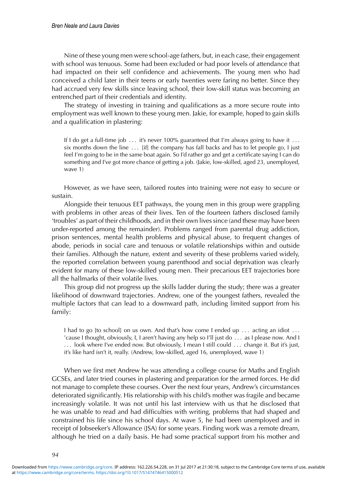Nine of these young men were school-age fathers, but, in each case, their engagement with school was tenuous. Some had been excluded or had poor levels of attendance that had impacted on their self confidence and achievements. The young men who had conceived a child later in their teens or early twenties were faring no better. Since they had accrued very few skills since leaving school, their low-skill status was becoming an entrenched part of their credentials and identity.

The strategy of investing in training and qualifications as a more secure route into employment was well known to these young men. Jakie, for example, hoped to gain skills and a qualification in plastering:

If I do get a full-time job  $\dots$  it's never 100% guaranteed that I'm always going to have it  $\dots$ six months down the line  $\dots$  [if] the company has fall backs and has to let people go, I just feel I'm going to be in the same boat again. So I'd rather go and get a certificate saying I can do something and I've got more chance of getting a job. (Jakie, low-skilled, aged 23, unemployed, wave 1)

However, as we have seen, tailored routes into training were not easy to secure or sustain.

Alongside their tenuous EET pathways, the young men in this group were grappling with problems in other areas of their lives. Ten of the fourteen fathers disclosed family 'troubles' as part of their childhoods, and in their own lives since (and these may have been under-reported among the remainder). Problems ranged from parental drug addiction, prison sentences, mental health problems and physical abuse, to frequent changes of abode, periods in social care and tenuous or volatile relationships within and outside their families. Although the nature, extent and severity of these problems varied widely, the reported correlation between young parenthood and social deprivation was clearly evident for many of these low-skilled young men. Their precarious EET trajectories bore all the hallmarks of their volatile lives.

This group did not progress up the skills ladder during the study; there was a greater likelihood of downward trajectories. Andrew, one of the youngest fathers, revealed the multiple factors that can lead to a downward path, including limited support from his family:

I had to go [to school] on us own. And that's how come I ended up ... acting an idiot ... 'cause I thought, obviously, I, I aren't having any help so I'll just do . . . as I please now. And I ... look where I've ended now. But obviously, I mean I still could ... change it. But it's just, it's like hard isn't it, really. (Andrew, low-skilled, aged 16, unemployed, wave 1)

When we first met Andrew he was attending a college course for Maths and English GCSEs, and later tried courses in plastering and preparation for the armed forces. He did not manage to complete these courses. Over the next four years, Andrew's circumstances deteriorated significantly. His relationship with his child's mother was fragile and became increasingly volatile. It was not until his last interview with us that he disclosed that he was unable to read and had difficulties with writing, problems that had shaped and constrained his life since his school days. At wave 5, he had been unemployed and in receipt of Jobseeker's Allowance (JSA) for some years. Finding work was a remote dream, although he tried on a daily basis. He had some practical support from his mother and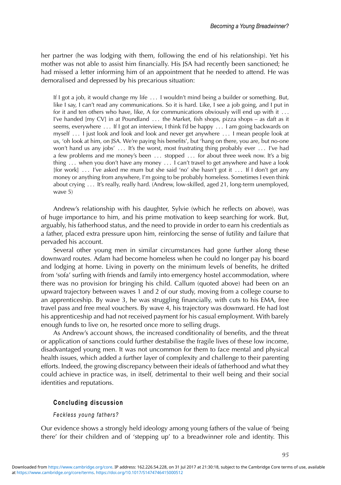her partner (he was lodging with them, following the end of his relationship). Yet his mother was not able to assist him financially. His JSA had recently been sanctioned; he had missed a letter informing him of an appointment that he needed to attend. He was demoralised and depressed by his precarious situation:

If I got a job, it would change my life . . . I wouldn't mind being a builder or something. But, like I say, I can't read any communications. So it is hard. Like, I see a job going, and I put in for it and ten others who have, like, A for communications obviously will end up with it . . . I've handed  $[my CV]$  in at Poundland  $\dots$  the Market, fish shops, pizza shops – as daft as it seems, everywhere ... If I got an interview, I think I'd be happy ... I am going backwards on myself . . . I just look and look and look and never get anywhere . . . I mean people look at us, 'oh look at him, on JSA. We're paying his benefits', but 'hang on there, you are, but no-one won't hand us any jobs' ... It's the worst, most frustrating thing probably ever ... I've had a few problems and me money's been . . . stopped . . . for about three week now. It's a big thing . . . when you don't have any money . . . I can't travel to get anywhere and have a look [for work] ... I've asked me mum but she said 'no' she hasn't got it ... If I don't get any money or anything from anywhere, I'm going to be probably homeless. Sometimes I even think about crying . . . It's really, really hard. (Andrew, low-skilled, aged 21, long-term unemployed, wave 5)

Andrew's relationship with his daughter, Sylvie (which he reflects on above), was of huge importance to him, and his prime motivation to keep searching for work. But, arguably, his fatherhood status, and the need to provide in order to earn his credentials as a father, placed extra pressure upon him, reinforcing the sense of futility and failure that pervaded his account.

Several other young men in similar circumstances had gone further along these downward routes. Adam had become homeless when he could no longer pay his board and lodging at home. Living in poverty on the minimum levels of benefits, he drifted from 'sofa' surfing with friends and family into emergency hostel accommodation, where there was no provision for bringing his child. Callum (quoted above) had been on an upward trajectory between waves 1 and 2 of our study, moving from a college course to an apprenticeship. By wave 3, he was struggling financially, with cuts to his EMA, free travel pass and free meal vouchers. By wave 4, his trajectory was downward. He had lost his apprenticeship and had not received payment for his casual employment. With barely enough funds to live on, he resorted once more to selling drugs.

As Andrew's account shows, the increased conditionality of benefits, and the threat or application of sanctions could further destabilise the fragile lives of these low income, disadvantaged young men. It was not uncommon for them to face mental and physical health issues, which added a further layer of complexity and challenge to their parenting efforts. Indeed, the growing discrepancy between their ideals of fatherhood and what they could achieve in practice was, in itself, detrimental to their well being and their social identities and reputations.

#### **Concluding discussion**

### *Feckless young fathers?*

Our evidence shows a strongly held ideology among young fathers of the value of 'being there' for their children and of 'stepping up' to a breadwinner role and identity. This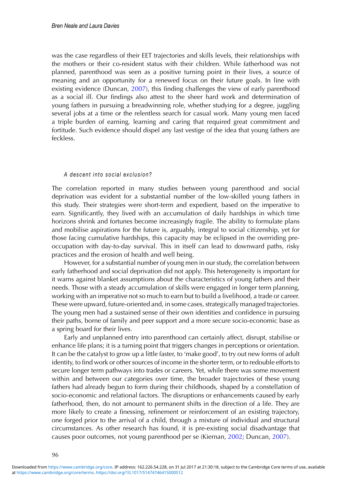was the case regardless of their EET trajectories and skills levels, their relationships with the mothers or their co-resident status with their children. While fatherhood was not planned, parenthood was seen as a positive turning point in their lives, a source of meaning and an opportunity for a renewed focus on their future goals. In line with existing evidence (Duncan, [2007\)](#page-12-0), this finding challenges the view of early parenthood as a social ill. Our findings also attest to the sheer hard work and determination of young fathers in pursuing a breadwinning role, whether studying for a degree, juggling several jobs at a time or the relentless search for casual work. Many young men faced a triple burden of earning, learning and caring that required great commitment and fortitude. Such evidence should dispel any last vestige of the idea that young fathers are feckless.

#### *A descent into social exclusion?*

The correlation reported in many studies between young parenthood and social deprivation was evident for a substantial number of the low-skilled young fathers in this study. Their strategies were short-term and expedient, based on the imperative to earn. Significantly, they lived with an accumulation of daily hardships in which time horizons shrink and fortunes become increasingly fragile. The ability to formulate plans and mobilise aspirations for the future is, arguably, integral to social citizenship, yet for those facing cumulative hardships, this capacity may be eclipsed in the overriding preoccupation with day-to-day survival. This in itself can lead to downward paths, risky practices and the erosion of health and well being.

However, for a substantial number of young men in our study, the correlation between early fatherhood and social deprivation did not apply. This heterogeneity is important for it warns against blanket assumptions about the characteristics of young fathers and their needs. Those with a steady accumulation of skills were engaged in longer term planning, working with an imperative not so much to earn but to build a livelihood, a trade or career. These were upward, future-oriented and, in some cases, strategically managed trajectories. The young men had a sustained sense of their own identities and confidence in pursuing their paths, borne of family and peer support and a more secure socio-economic base as a spring board for their lives.

Early and unplanned entry into parenthood can certainly affect, disrupt, stabilise or enhance life plans; it is a turning point that triggers changes in perceptions or orientation. It can be the catalyst to grow up a little faster, to 'make good', to try out new forms of adult identity, to find work or other sources of income in the shorter term, or to redouble efforts to secure longer term pathways into trades or careers. Yet, while there was some movement within and between our categories over time, the broader trajectories of these young fathers had already begun to form during their childhoods, shaped by a constellation of socio-economic and relational factors. The disruptions or enhancements caused by early fatherhood, then, do not amount to permanent shifts in the direction of a life. They are more likely to create a finessing, refinement or reinforcement of an existing trajectory, one forged prior to the arrival of a child, through a mixture of individual and structural circumstances. As other research has found, it is pre-existing social disadvantage that causes poor outcomes, not young parenthood per se (Kiernan, [2002;](#page-13-0) Duncan, [2007\)](#page-12-0).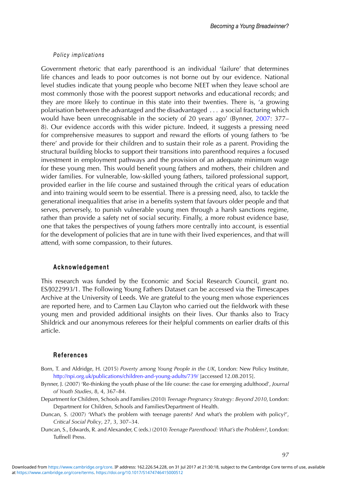## <span id="page-12-0"></span>*Policy implications*

Government rhetoric that early parenthood is an individual 'failure' that determines life chances and leads to poor outcomes is not borne out by our evidence. National level studies indicate that young people who become NEET when they leave school are most commonly those with the poorest support networks and educational records; and they are more likely to continue in this state into their twenties. There is, 'a growing polarisation between the advantaged and the disadvantaged . . . a social fracturing which would have been unrecognisable in the society of 20 years ago' (Bynner, 2007: 377– 8). Our evidence accords with this wider picture. Indeed, it suggests a pressing need for comprehensive measures to support and reward the efforts of young fathers to 'be there' and provide for their children and to sustain their role as a parent. Providing the structural building blocks to support their transitions into parenthood requires a focused investment in employment pathways and the provision of an adequate minimum wage for these young men. This would benefit young fathers and mothers, their children and wider families. For vulnerable, low-skilled young fathers, tailored professional support, provided earlier in the life course and sustained through the critical years of education and into training would seem to be essential. There is a pressing need, also, to tackle the generational inequalities that arise in a benefits system that favours older people and that serves, perversely, to punish vulnerable young men through a harsh sanctions regime, rather than provide a safety net of social security. Finally, a more robust evidence base, one that takes the perspectives of young fathers more centrally into account, is essential for the development of policies that are in tune with their lived experiences, and that will attend, with some compassion, to their futures.

# **Acknowledgement**

This research was funded by the Economic and Social Research Council, grant no. ES/J022993/1. The Following Young Fathers Dataset can be accessed via the Timescapes Archive at the University of Leeds. We are grateful to the young men whose experiences are reported here, and to Carmen Lau Clayton who carried out the fieldwork with these young men and provided additional insights on their lives. Our thanks also to Tracy Shildrick and our anonymous referees for their helpful comments on earlier drafts of this article.

# **References**

- Born, T. and Aldridge, H. (2015) *Poverty among Young People in the UK*, London: New Policy Institute, <http://npi.org.uk/publications/children-and-young-adults/739/> [accessed 12.08.2015].
- Bynner, J. (2007) 'Re-thinking the youth phase of the life course: the case for emerging adulthood', *Journal of Youth Studies*, 8, 4, 367–84.
- Department for Children, Schools and Families (2010) *Teenage Pregnancy Strategy: Beyond 2010*, London: Department for Children, Schools and Families/Department of Health.
- Duncan, S. (2007) 'What's the problem with teenage parents? And what's the problem with policy?', *Critical Social Policy*, 27, 3, 307–34.
- Duncan, S., Edwards, R. and Alexander, C (eds.) (2010) *Teenage Parenthood: What's the Problem?*, London: Tuffnell Press.